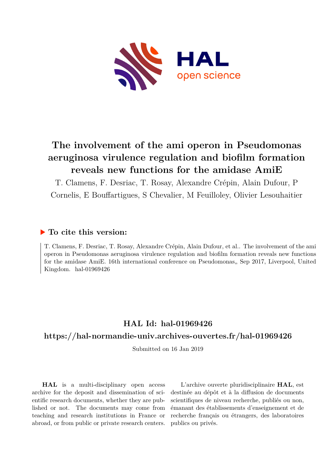

### **The involvement of the ami operon in Pseudomonas aeruginosa virulence regulation and biofilm formation reveals new functions for the amidase AmiE**

T. Clamens, F. Desriac, T. Rosay, Alexandre Crépin, Alain Dufour, P Cornelis, E Bouffartigues, S Chevalier, M Feuilloley, Olivier Lesouhaitier

#### **To cite this version:**

T. Clamens, F. Desriac, T. Rosay, Alexandre Crépin, Alain Dufour, et al.. The involvement of the ami operon in Pseudomonas aeruginosa virulence regulation and biofilm formation reveals new functions for the amidase AmiE. 16th international conference on Pseudomonas, Sep 2017, Liverpool, United Kingdom. hal- $01969426$ 

### **HAL Id: hal-01969426**

#### **<https://hal-normandie-univ.archives-ouvertes.fr/hal-01969426>**

Submitted on 16 Jan 2019

**HAL** is a multi-disciplinary open access archive for the deposit and dissemination of scientific research documents, whether they are published or not. The documents may come from teaching and research institutions in France or abroad, or from public or private research centers.

L'archive ouverte pluridisciplinaire **HAL**, est destinée au dépôt et à la diffusion de documents scientifiques de niveau recherche, publiés ou non, émanant des établissements d'enseignement et de recherche français ou étrangers, des laboratoires publics ou privés.